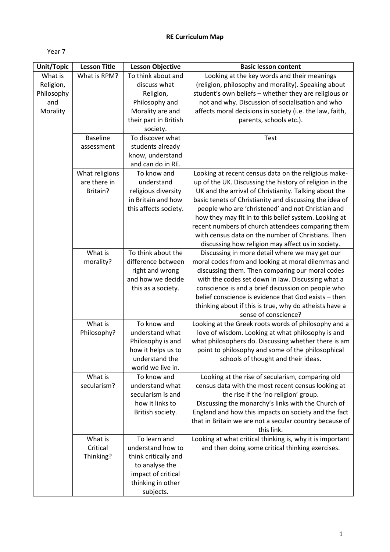## **RE Curriculum Map**

Year 7

| Unit/Topic | <b>Lesson Title</b> | <b>Lesson Objective</b> | <b>Basic lesson content</b>                                                  |
|------------|---------------------|-------------------------|------------------------------------------------------------------------------|
| What is    | What is RPM?        | To think about and      | Looking at the key words and their meanings                                  |
| Religion,  |                     | discuss what            | (religion, philosophy and morality). Speaking about                          |
| Philosophy |                     | Religion,               | student's own beliefs - whether they are religious or                        |
| and        |                     | Philosophy and          | not and why. Discussion of socialisation and who                             |
| Morality   |                     | Morality are and        | affects moral decisions in society (i.e. the law, faith,                     |
|            |                     | their part in British   | parents, schools etc.).                                                      |
|            |                     | society.                |                                                                              |
|            | <b>Baseline</b>     | To discover what        | Test                                                                         |
|            | assessment          | students already        |                                                                              |
|            |                     | know, understand        |                                                                              |
|            |                     | and can do in RE.       |                                                                              |
|            | What religions      | To know and             | Looking at recent census data on the religious make-                         |
|            | are there in        | understand              | up of the UK. Discussing the history of religion in the                      |
|            | Britain?            | religious diversity     | UK and the arrival of Christianity. Talking about the                        |
|            |                     | in Britain and how      | basic tenets of Christianity and discussing the idea of                      |
|            |                     | this affects society.   | people who are 'christened' and not Christian and                            |
|            |                     |                         | how they may fit in to this belief system. Looking at                        |
|            |                     |                         | recent numbers of church attendees comparing them                            |
|            |                     |                         | with census data on the number of Christians. Then                           |
|            |                     |                         | discussing how religion may affect us in society.                            |
|            | What is             | To think about the      | Discussing in more detail where we may get our                               |
|            | morality?           | difference between      | moral codes from and looking at moral dilemmas and                           |
|            |                     | right and wrong         | discussing them. Then comparing our moral codes                              |
|            |                     | and how we decide       | with the codes set down in law. Discussing what a                            |
|            |                     | this as a society.      | conscience is and a brief discussion on people who                           |
|            |                     |                         | belief conscience is evidence that God exists - then                         |
|            |                     |                         | thinking about if this is true, why do atheists have a                       |
|            | What is             | To know and             | sense of conscience?<br>Looking at the Greek roots words of philosophy and a |
|            | Philosophy?         | understand what         | love of wisdom. Looking at what philosophy is and                            |
|            |                     | Philosophy is and       | what philosophers do. Discussing whether there is am                         |
|            |                     | how it helps us to      | point to philosophy and some of the philosophical                            |
|            |                     | understand the          | schools of thought and their ideas.                                          |
|            |                     | world we live in.       |                                                                              |
|            | What is             | To know and             | Looking at the rise of secularism, comparing old                             |
|            | secularism?         | understand what         | census data with the most recent census looking at                           |
|            |                     | secularism is and       | the rise if the 'no religion' group.                                         |
|            |                     | how it links to         | Discussing the monarchy's links with the Church of                           |
|            |                     | British society.        | England and how this impacts on society and the fact                         |
|            |                     |                         | that in Britain we are not a secular country because of                      |
|            |                     |                         | this link.                                                                   |
|            | What is             | To learn and            | Looking at what critical thinking is, why it is important                    |
|            | Critical            | understand how to       | and then doing some critical thinking exercises.                             |
|            | Thinking?           | think critically and    |                                                                              |
|            |                     | to analyse the          |                                                                              |
|            |                     | impact of critical      |                                                                              |
|            |                     | thinking in other       |                                                                              |
|            |                     | subjects.               |                                                                              |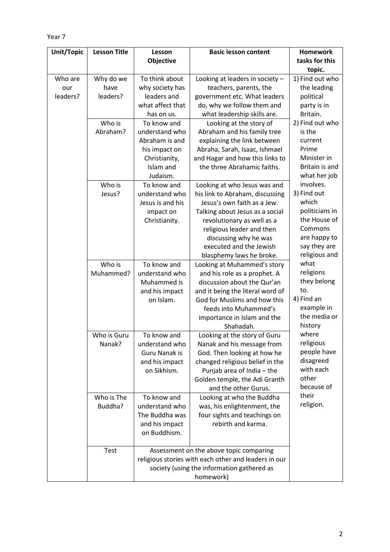```
Year 7
```

| Unit/Topic | <b>Lesson Title</b> | Lesson                        | <b>Basic lesson content</b>                                 | <b>Homework</b>           |
|------------|---------------------|-------------------------------|-------------------------------------------------------------|---------------------------|
|            |                     | <b>Objective</b>              |                                                             | tasks for this            |
| Who are    | Why do we           | To think about                | Looking at leaders in society -                             | topic.<br>1) Find out who |
| our        | have                | why society has               | teachers, parents, the                                      | the leading               |
| leaders?   | leaders?            | leaders and                   | government etc. What leaders                                | political                 |
|            |                     | what affect that              | do, why we follow them and                                  | party is in               |
|            |                     | has on us.                    | what leadership skills are.                                 | Britain.                  |
|            | Who is              | To know and                   | Looking at the story of                                     | 2) Find out who           |
|            | Abraham?            | understand who                | Abraham and his family tree                                 | is the                    |
|            |                     | Abraham is and                | explaining the link between                                 | current                   |
|            |                     | his impact on                 | Abraha, Sarah, Isaac, Ishmael                               | Prime                     |
|            |                     | Christianity,                 | and Hagar and how this links to                             | Minister in               |
|            |                     | Islam and                     | the three Abrahamic faiths.                                 | Britain is and            |
|            |                     | Judaism.                      |                                                             | what her job              |
|            | Who is              | To know and                   | Looking at who Jesus was and                                | involves.                 |
|            | Jesus?              | understand who                | his link to Abraham, discussing                             | 3) Find out               |
|            |                     | Jesus is and his              | Jesus's own faith as a Jew.                                 | which                     |
|            |                     | impact on                     | Talking about Jesus as a social                             | politicians in            |
|            |                     | Christianity.                 | revolutionary as well as a                                  | the House of              |
|            |                     |                               | religious leader and then                                   | Commons                   |
|            |                     |                               | discussing why he was                                       | are happy to              |
|            |                     |                               | executed and the Jewish                                     | say they are              |
|            |                     |                               | blasphemy laws he broke.                                    | religious and<br>what     |
|            | Who is<br>Muhammed? | To know and<br>understand who | Looking at Muhammed's story                                 | religions                 |
|            |                     | Muhammed is                   | and his role as a prophet. A<br>discussion about the Qur'an | they belong               |
|            |                     | and his impact                | and it being the literal word of                            | to.                       |
|            |                     | on Islam.                     | God for Muslims and how this                                | 4) Find an                |
|            |                     |                               | feeds into Muhammed's                                       | example in                |
|            |                     |                               | importance in Islam and the                                 | the media or              |
|            |                     |                               | Shahadah.                                                   | history                   |
|            | Who is Guru         | To know and                   | Looking at the story of Guru                                | where                     |
|            | Nanak?              | understand who                | Nanak and his message from                                  | religious                 |
|            |                     | <b>Guru Nanak is</b>          | God. Then looking at how he                                 | people have               |
|            |                     | and his impact                | changed religious belief in the                             | disagreed                 |
|            |                     | on Sikhism.                   | Punjab area of India - the                                  | with each                 |
|            |                     |                               | Golden temple, the Adi Granth                               | other                     |
|            |                     |                               | and the other Gurus.                                        | because of                |
|            | Who is The          | To know and                   | Looking at who the Buddha                                   | their                     |
|            | Buddha?             | understand who                | was, his enlightenment, the                                 | religion.                 |
|            |                     | The Buddha was                | four sights and teachings on                                |                           |
|            |                     | and his impact                | rebirth and karma.                                          |                           |
|            |                     | on Buddhism.                  |                                                             |                           |
|            | Test                |                               | Assessment on the above topic comparing                     |                           |
|            |                     |                               | religious stories with each other and leaders in our        |                           |
|            |                     |                               | society (using the information gathered as                  |                           |
|            |                     |                               | homework)                                                   |                           |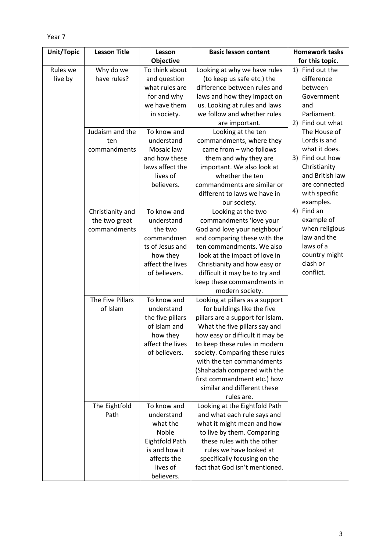| ÷<br>. .<br>×<br>۰.<br>× |  |
|--------------------------|--|
|--------------------------|--|

| <b>Unit/Topic</b> | <b>Lesson Title</b> | Lesson           | <b>Basic lesson content</b>                                     | <b>Homework tasks</b> |
|-------------------|---------------------|------------------|-----------------------------------------------------------------|-----------------------|
|                   |                     | Objective        |                                                                 | for this topic.       |
| Rules we          | Why do we           | To think about   | Looking at why we have rules                                    | Find out the<br>1)    |
| live by           | have rules?         | and question     | (to keep us safe etc.) the                                      | difference            |
|                   |                     | what rules are   | difference between rules and                                    | between               |
|                   |                     | for and why      | laws and how they impact on                                     | Government            |
|                   |                     | we have them     | us. Looking at rules and laws                                   | and                   |
|                   |                     | in society.      | we follow and whether rules                                     | Parliament.           |
|                   |                     |                  | are important.                                                  | 2) Find out what      |
|                   | Judaism and the     | To know and      | Looking at the ten                                              | The House of          |
|                   | ten                 | understand       | commandments, where they                                        | Lords is and          |
|                   | commandments        | Mosaic law       | came from - who follows                                         | what it does.         |
|                   |                     | and how these    | them and why they are                                           | 3) Find out how       |
|                   |                     | laws affect the  | important. We also look at                                      | Christianity          |
|                   |                     | lives of         | whether the ten                                                 | and British law       |
|                   |                     | believers.       | commandments are similar or                                     | are connected         |
|                   |                     |                  | different to laws we have in                                    | with specific         |
|                   |                     |                  | our society.                                                    | examples.             |
|                   | Christianity and    | To know and      | Looking at the two                                              | Find an<br>4)         |
|                   | the two great       | understand       | commandments 'love your                                         | example of            |
|                   | commandments        | the two          | God and love your neighbour'                                    | when religious        |
|                   |                     | commandmen       | and comparing these with the                                    | law and the           |
|                   |                     | ts of Jesus and  | ten commandments. We also                                       | laws of a             |
|                   |                     | how they         | look at the impact of love in                                   | country might         |
|                   |                     | affect the lives | Christianity and how easy or                                    | clash or<br>conflict. |
|                   |                     | of believers.    | difficult it may be to try and                                  |                       |
|                   |                     |                  | keep these commandments in                                      |                       |
|                   | The Five Pillars    | To know and      | modern society.                                                 |                       |
|                   | of Islam            | understand       | Looking at pillars as a support                                 |                       |
|                   |                     | the five pillars | for buildings like the five<br>pillars are a support for Islam. |                       |
|                   |                     | of Islam and     | What the five pillars say and                                   |                       |
|                   |                     | how they         | how easy or difficult it may be                                 |                       |
|                   |                     | affect the lives | to keep these rules in modern                                   |                       |
|                   |                     | of believers.    | society. Comparing these rules                                  |                       |
|                   |                     |                  | with the ten commandments                                       |                       |
|                   |                     |                  | (Shahadah compared with the                                     |                       |
|                   |                     |                  | first commandment etc.) how                                     |                       |
|                   |                     |                  | similar and different these                                     |                       |
|                   |                     |                  | rules are.                                                      |                       |
|                   | The Eightfold       | To know and      | Looking at the Eightfold Path                                   |                       |
|                   | Path                | understand       | and what each rule says and                                     |                       |
|                   |                     | what the         | what it might mean and how                                      |                       |
|                   |                     | Noble            | to live by them. Comparing                                      |                       |
|                   |                     | Eightfold Path   | these rules with the other                                      |                       |
|                   |                     | is and how it    | rules we have looked at                                         |                       |
|                   |                     | affects the      | specifically focusing on the                                    |                       |
|                   |                     | lives of         | fact that God isn't mentioned.                                  |                       |
|                   |                     | believers.       |                                                                 |                       |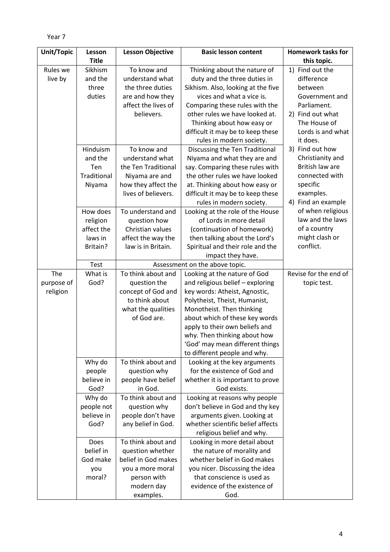```
Year 7
```

| <b>Unit/Topic</b> | Lesson       | <b>Lesson Objective</b>          | <b>Basic lesson content</b>                           | <b>Homework tasks for</b>             |
|-------------------|--------------|----------------------------------|-------------------------------------------------------|---------------------------------------|
|                   | <b>Title</b> |                                  |                                                       | this topic.                           |
| Rules we          | Sikhism      | To know and                      | Thinking about the nature of                          | 1) Find out the                       |
| live by           | and the      | understand what                  | duty and the three duties in                          | difference                            |
|                   | three        | the three duties                 | Sikhism. Also, looking at the five                    | between                               |
|                   | duties       | are and how they                 | vices and what a vice is.                             | Government and                        |
|                   |              | affect the lives of              | Comparing these rules with the                        | Parliament.                           |
|                   |              | believers.                       | other rules we have looked at.                        | 2) Find out what                      |
|                   |              |                                  | Thinking about how easy or                            | The House of                          |
|                   |              |                                  | difficult it may be to keep these                     | Lords is and what                     |
|                   |              |                                  | rules in modern society.                              | it does.                              |
|                   | Hinduism     | To know and                      | Discussing the Ten Traditional                        | 3) Find out how                       |
|                   | and the      | understand what                  | Niyama and what they are and                          | Christianity and                      |
|                   | Ten          | the Ten Traditional              | say. Comparing these rules with                       | British law are                       |
|                   | Traditional  | Niyama are and                   | the other rules we have looked                        | connected with                        |
|                   | Niyama       | how they affect the              | at. Thinking about how easy or                        | specific                              |
|                   |              | lives of believers.              | difficult it may be to keep these                     | examples.                             |
|                   |              |                                  | rules in modern society.                              | 4) Find an example                    |
|                   | How does     | To understand and                | Looking at the role of the House                      | of when religious<br>law and the laws |
|                   | religion     | question how<br>Christian values | of Lords in more detail                               | of a country                          |
|                   | affect the   |                                  | (continuation of homework)                            | might clash or                        |
|                   | laws in      | affect the way the               | then talking about the Lord's                         | conflict.                             |
|                   | Britain?     | law is in Britain.               | Spiritual and their role and the<br>impact they have. |                                       |
|                   | Test         |                                  | Assessment on the above topic.                        |                                       |
| The               | What is      | To think about and               | Looking at the nature of God                          | Revise for the end of                 |
| purpose of        | God?         | question the                     | and religious belief - exploring                      | topic test.                           |
| religion          |              | concept of God and               | key words: Atheist, Agnostic,                         |                                       |
|                   |              | to think about                   | Polytheist, Theist, Humanist,                         |                                       |
|                   |              | what the qualities               | Monotheist. Then thinking                             |                                       |
|                   |              | of God are.                      | about which of these key words                        |                                       |
|                   |              |                                  | apply to their own beliefs and                        |                                       |
|                   |              |                                  | why. Then thinking about how                          |                                       |
|                   |              |                                  | 'God' may mean different things                       |                                       |
|                   |              |                                  | to different people and why.                          |                                       |
|                   | Why do       | To think about and               | Looking at the key arguments                          |                                       |
|                   | people       | question why                     | for the existence of God and                          |                                       |
|                   | believe in   | people have belief               | whether it is important to prove                      |                                       |
|                   | God?         | in God.                          | God exists.                                           |                                       |
|                   | Why do       | To think about and               | Looking at reasons why people                         |                                       |
|                   | people not   | question why                     | don't believe in God and thy key                      |                                       |
|                   | believe in   | people don't have                | arguments given. Looking at                           |                                       |
|                   | God?         | any belief in God.               | whether scientific belief affects                     |                                       |
|                   |              |                                  | religious belief and why.                             |                                       |
|                   | Does         | To think about and               | Looking in more detail about                          |                                       |
|                   | belief in    | question whether                 | the nature of morality and                            |                                       |
|                   | God make     | belief in God makes              | whether belief in God makes                           |                                       |
|                   | you          | you a more moral                 | you nicer. Discussing the idea                        |                                       |
|                   | moral?       | person with                      | that conscience is used as                            |                                       |
|                   |              | modern day                       | evidence of the existence of                          |                                       |
|                   |              | examples.                        | God.                                                  |                                       |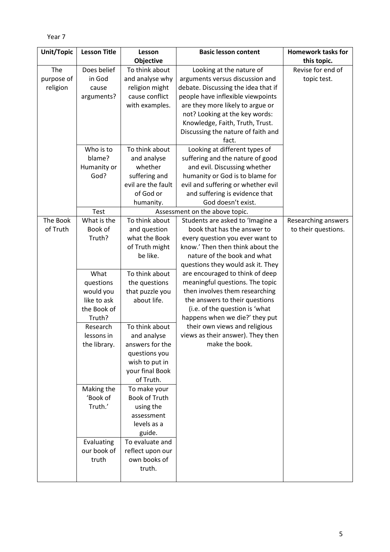```
Year 7
```

| Unit/Topic | <b>Lesson Title</b> | Lesson               | <b>Basic lesson content</b>                                        | <b>Homework tasks for</b>  |
|------------|---------------------|----------------------|--------------------------------------------------------------------|----------------------------|
|            |                     | Objective            |                                                                    | this topic.                |
| The        | Does belief         | To think about       | Looking at the nature of                                           | Revise for end of          |
| purpose of | in God              | and analyse why      | arguments versus discussion and                                    | topic test.                |
| religion   | cause               | religion might       | debate. Discussing the idea that if                                |                            |
|            | arguments?          | cause conflict       | people have inflexible viewpoints                                  |                            |
|            |                     | with examples.       | are they more likely to argue or                                   |                            |
|            |                     |                      | not? Looking at the key words:                                     |                            |
|            |                     |                      | Knowledge, Faith, Truth, Trust.                                    |                            |
|            |                     |                      | Discussing the nature of faith and                                 |                            |
|            |                     |                      | fact.                                                              |                            |
|            | Who is to           | To think about       | Looking at different types of                                      |                            |
|            | blame?              | and analyse          | suffering and the nature of good                                   |                            |
|            | Humanity or         | whether              | and evil. Discussing whether                                       |                            |
|            | God?                | suffering and        | humanity or God is to blame for                                    |                            |
|            |                     | evil are the fault   | evil and suffering or whether evil                                 |                            |
|            |                     | of God or            | and suffering is evidence that                                     |                            |
|            |                     | humanity.            | God doesn't exist.                                                 |                            |
| The Book   | Test<br>What is the | To think about       | Assessment on the above topic.<br>Students are asked to 'Imagine a | <b>Researching answers</b> |
| of Truth   | Book of             | and question         | book that has the answer to                                        | to their questions.        |
|            | Truth?              | what the Book        | every question you ever want to                                    |                            |
|            |                     | of Truth might       | know.' Then then think about the                                   |                            |
|            |                     | be like.             | nature of the book and what                                        |                            |
|            |                     |                      | questions they would ask it. They                                  |                            |
|            | What                | To think about       | are encouraged to think of deep                                    |                            |
|            | questions           | the questions        | meaningful questions. The topic                                    |                            |
|            | would you           | that puzzle you      | then involves them researching                                     |                            |
|            | like to ask         | about life.          | the answers to their questions                                     |                            |
|            | the Book of         |                      | (i.e. of the question is 'what                                     |                            |
|            | Truth?              |                      | happens when we die?' they put                                     |                            |
|            | Research            | To think about       | their own views and religious                                      |                            |
|            | lessons in          | and analyse          | views as their answer). They then                                  |                            |
|            | the library.        | answers for the      | make the book.                                                     |                            |
|            |                     | questions you        |                                                                    |                            |
|            |                     | wish to put in       |                                                                    |                            |
|            |                     | your final Book      |                                                                    |                            |
|            |                     | of Truth.            |                                                                    |                            |
|            | Making the          | To make your         |                                                                    |                            |
|            | 'Book of            | <b>Book of Truth</b> |                                                                    |                            |
|            | Truth.'             | using the            |                                                                    |                            |
|            |                     | assessment           |                                                                    |                            |
|            |                     | levels as a          |                                                                    |                            |
|            |                     | guide.               |                                                                    |                            |
|            | Evaluating          | To evaluate and      |                                                                    |                            |
|            | our book of         | reflect upon our     |                                                                    |                            |
|            | truth               | own books of         |                                                                    |                            |
|            |                     | truth.               |                                                                    |                            |
|            |                     |                      |                                                                    |                            |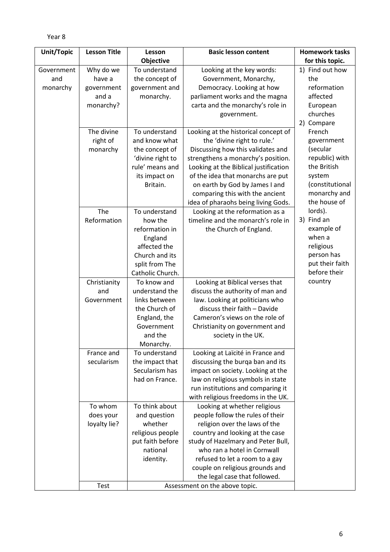| Unit/Topic | <b>Lesson Title</b> | Lesson                     | <b>Basic lesson content</b>           | <b>Homework tasks</b> |
|------------|---------------------|----------------------------|---------------------------------------|-----------------------|
|            |                     | <b>Objective</b>           |                                       | for this topic.       |
| Government | Why do we           | To understand              | Looking at the key words:             | 1) Find out how       |
| and        | have a              | the concept of             | Government, Monarchy,                 | the                   |
| monarchy   | government          | government and             | Democracy. Looking at how             | reformation           |
|            | and a               | monarchy.                  | parliament works and the magna        | affected              |
|            | monarchy?           |                            | carta and the monarchy's role in      | European              |
|            |                     |                            | government.                           | churches              |
|            |                     |                            |                                       | 2) Compare            |
|            | The divine          | To understand              | Looking at the historical concept of  | French                |
|            | right of            | and know what              | the 'divine right to rule.'           | government            |
|            | monarchy            | the concept of             | Discussing how this validates and     | (secular              |
|            |                     | 'divine right to           | strengthens a monarchy's position.    | republic) with        |
|            |                     | rule' means and            | Looking at the Biblical justification | the British           |
|            |                     | its impact on              | of the idea that monarchs are put     | system                |
|            |                     | Britain.                   | on earth by God by James I and        | (constitutional       |
|            |                     |                            | comparing this with the ancient       | monarchy and          |
|            |                     |                            | idea of pharaohs being living Gods.   | the house of          |
|            | The                 | To understand              | Looking at the reformation as a       | lords).               |
|            | Reformation         | how the                    | timeline and the monarch's role in    | 3) Find an            |
|            |                     | reformation in             | the Church of England.                | example of            |
|            |                     | England                    |                                       | when a                |
|            |                     | affected the               |                                       | religious             |
|            |                     | Church and its             |                                       | person has            |
|            |                     | split from The             |                                       | put their faith       |
|            |                     | Catholic Church.           |                                       | before their          |
|            | Christianity        | To know and                | Looking at Biblical verses that       | country               |
|            | and                 | understand the             | discuss the authority of man and      |                       |
|            | Government          | links between              | law. Looking at politicians who       |                       |
|            |                     | the Church of              | discuss their faith - Davide          |                       |
|            |                     | England, the               | Cameron's views on the role of        |                       |
|            |                     | Government                 | Christianity on government and        |                       |
|            |                     | and the                    | society in the UK.                    |                       |
|            | France and          | Monarchy.<br>To understand | Looking at Laïcité in France and      |                       |
|            | secularism          | the impact that            | discussing the burqa ban and its      |                       |
|            |                     | Secularism has             | impact on society. Looking at the     |                       |
|            |                     | had on France.             | law on religious symbols in state     |                       |
|            |                     |                            | run institutions and comparing it     |                       |
|            |                     |                            | with religious freedoms in the UK.    |                       |
|            | To whom             | To think about             | Looking at whether religious          |                       |
|            | does your           | and question               | people follow the rules of their      |                       |
|            | loyalty lie?        | whether                    | religion over the laws of the         |                       |
|            |                     | religious people           | country and looking at the case       |                       |
|            |                     | put faith before           | study of Hazelmary and Peter Bull,    |                       |
|            |                     | national                   | who ran a hotel in Cornwall           |                       |
|            |                     | identity.                  | refused to let a room to a gay        |                       |
|            |                     |                            | couple on religious grounds and       |                       |
|            |                     |                            | the legal case that followed.         |                       |
|            | Test                |                            | Assessment on the above topic.        |                       |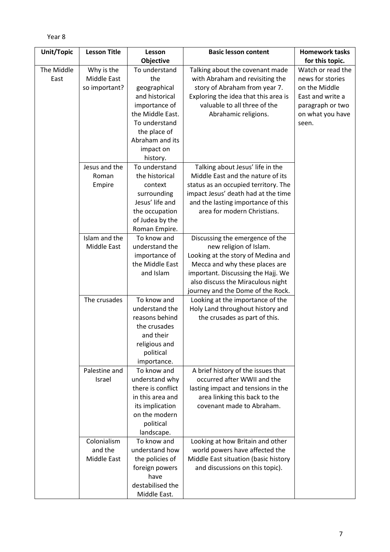| Unit/Topic | <b>Lesson Title</b> | Lesson            | <b>Basic lesson content</b>                                           | <b>Homework tasks</b> |
|------------|---------------------|-------------------|-----------------------------------------------------------------------|-----------------------|
|            |                     | Objective         |                                                                       | for this topic.       |
| The Middle | Why is the          | To understand     | Talking about the covenant made                                       | Watch or read the     |
| East       | Middle East         | the               | with Abraham and revisiting the                                       | news for stories      |
|            | so important?       | geographical      | story of Abraham from year 7.                                         | on the Middle         |
|            |                     | and historical    | Exploring the idea that this area is                                  | East and write a      |
|            |                     | importance of     | valuable to all three of the                                          | paragraph or two      |
|            |                     | the Middle East.  | Abrahamic religions.                                                  | on what you have      |
|            |                     | To understand     |                                                                       | seen.                 |
|            |                     | the place of      |                                                                       |                       |
|            |                     | Abraham and its   |                                                                       |                       |
|            |                     | impact on         |                                                                       |                       |
|            |                     | history.          |                                                                       |                       |
|            | Jesus and the       | To understand     | Talking about Jesus' life in the                                      |                       |
|            | Roman               | the historical    | Middle East and the nature of its                                     |                       |
|            | Empire              | context           | status as an occupied territory. The                                  |                       |
|            |                     | surrounding       | impact Jesus' death had at the time                                   |                       |
|            |                     | Jesus' life and   | and the lasting importance of this                                    |                       |
|            |                     | the occupation    | area for modern Christians.                                           |                       |
|            |                     | of Judea by the   |                                                                       |                       |
|            |                     | Roman Empire.     |                                                                       |                       |
|            | Islam and the       | To know and       | Discussing the emergence of the                                       |                       |
|            | Middle East         | understand the    | new religion of Islam.                                                |                       |
|            |                     | importance of     | Looking at the story of Medina and                                    |                       |
|            |                     | the Middle East   | Mecca and why these places are                                        |                       |
|            |                     | and Islam         | important. Discussing the Hajj. We                                    |                       |
|            |                     |                   | also discuss the Miraculous night                                     |                       |
|            | The crusades        | To know and       | journey and the Dome of the Rock.<br>Looking at the importance of the |                       |
|            |                     | understand the    | Holy Land throughout history and                                      |                       |
|            |                     | reasons behind    | the crusades as part of this.                                         |                       |
|            |                     | the crusades      |                                                                       |                       |
|            |                     | and their         |                                                                       |                       |
|            |                     | religious and     |                                                                       |                       |
|            |                     | political         |                                                                       |                       |
|            |                     | importance.       |                                                                       |                       |
|            | Palestine and       | To know and       | A brief history of the issues that                                    |                       |
|            | Israel              | understand why    | occurred after WWII and the                                           |                       |
|            |                     | there is conflict | lasting impact and tensions in the                                    |                       |
|            |                     | in this area and  | area linking this back to the                                         |                       |
|            |                     | its implication   | covenant made to Abraham.                                             |                       |
|            |                     | on the modern     |                                                                       |                       |
|            |                     | political         |                                                                       |                       |
|            |                     | landscape.        |                                                                       |                       |
|            | Colonialism         | To know and       | Looking at how Britain and other                                      |                       |
|            | and the             | understand how    | world powers have affected the                                        |                       |
|            | Middle East         | the policies of   | Middle East situation (basic history                                  |                       |
|            |                     | foreign powers    | and discussions on this topic).                                       |                       |
|            |                     | have              |                                                                       |                       |
|            |                     | destabilised the  |                                                                       |                       |
|            |                     | Middle East.      |                                                                       |                       |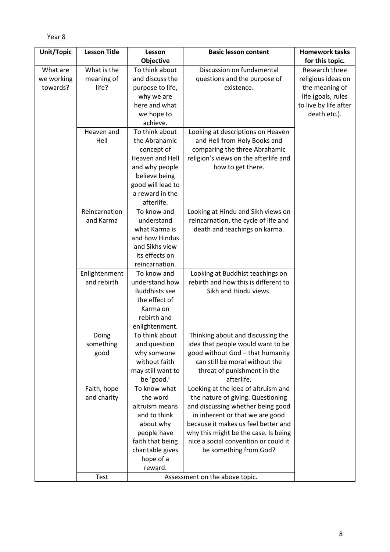```
Year 8
```

| Unit/Topic | <b>Lesson Title</b> | Lesson                           | <b>Basic lesson content</b>                                           | <b>Homework tasks</b> |
|------------|---------------------|----------------------------------|-----------------------------------------------------------------------|-----------------------|
|            |                     | Objective                        |                                                                       | for this topic.       |
| What are   | What is the         | To think about                   | Discussion on fundamental                                             | Research three        |
| we working | meaning of          | and discuss the                  | questions and the purpose of                                          | religious ideas on    |
| towards?   | life?               | purpose to life,                 | existence.                                                            | the meaning of        |
|            |                     | why we are                       |                                                                       | life (goals, rules    |
|            |                     | here and what                    |                                                                       | to live by life after |
|            |                     | we hope to                       |                                                                       | death etc.).          |
|            |                     | achieve.                         |                                                                       |                       |
|            | Heaven and          | To think about                   | Looking at descriptions on Heaven                                     |                       |
|            | Hell                | the Abrahamic                    | and Hell from Holy Books and                                          |                       |
|            |                     | concept of                       | comparing the three Abrahamic                                         |                       |
|            |                     | Heaven and Hell                  | religion's views on the afterlife and                                 |                       |
|            |                     | and why people                   | how to get there.                                                     |                       |
|            |                     | believe being                    |                                                                       |                       |
|            |                     | good will lead to                |                                                                       |                       |
|            |                     | a reward in the                  |                                                                       |                       |
|            |                     | afterlife.                       |                                                                       |                       |
|            | Reincarnation       | To know and                      | Looking at Hindu and Sikh views on                                    |                       |
|            | and Karma           | understand                       | reincarnation, the cycle of life and                                  |                       |
|            |                     | what Karma is                    | death and teachings on karma.                                         |                       |
|            |                     | and how Hindus                   |                                                                       |                       |
|            |                     | and Sikhs view                   |                                                                       |                       |
|            |                     | its effects on                   |                                                                       |                       |
|            |                     | reincarnation.                   |                                                                       |                       |
|            | Enlightenment       | To know and                      | Looking at Buddhist teachings on                                      |                       |
|            | and rebirth         | understand how                   | rebirth and how this is different to                                  |                       |
|            |                     | <b>Buddhists see</b>             | Sikh and Hindu views.                                                 |                       |
|            |                     | the effect of                    |                                                                       |                       |
|            |                     | Karma on<br>rebirth and          |                                                                       |                       |
|            |                     |                                  |                                                                       |                       |
|            | Doing               | enlightenment.<br>To think about | Thinking about and discussing the                                     |                       |
|            | something           |                                  |                                                                       |                       |
|            | good                | and question<br>why someone      | idea that people would want to be<br>good without God - that humanity |                       |
|            |                     | without faith                    | can still be moral without the                                        |                       |
|            |                     | may still want to                | threat of punishment in the                                           |                       |
|            |                     | be 'good.'                       | afterlife.                                                            |                       |
|            | Faith, hope         | To know what                     | Looking at the idea of altruism and                                   |                       |
|            | and charity         | the word                         | the nature of giving. Questioning                                     |                       |
|            |                     | altruism means                   | and discussing whether being good                                     |                       |
|            |                     | and to think                     | in inherent or that we are good                                       |                       |
|            |                     | about why                        | because it makes us feel better and                                   |                       |
|            |                     | people have                      | why this might be the case. Is being                                  |                       |
|            |                     | faith that being                 | nice a social convention or could it                                  |                       |
|            |                     | charitable gives                 | be something from God?                                                |                       |
|            |                     | hope of a                        |                                                                       |                       |
|            |                     | reward.                          |                                                                       |                       |
|            | Test                |                                  | Assessment on the above topic.                                        |                       |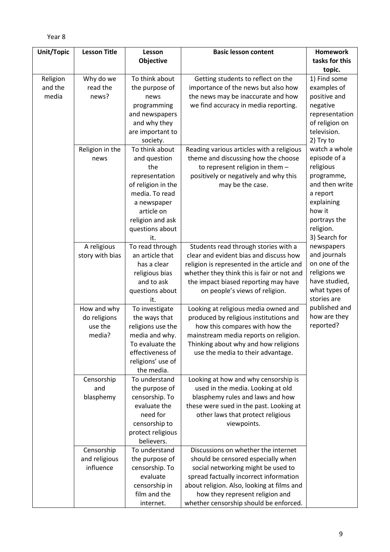| Unit/Topic | <b>Lesson Title</b> | Lesson             | <b>Basic lesson content</b>                | <b>Homework</b> |
|------------|---------------------|--------------------|--------------------------------------------|-----------------|
|            |                     | Objective          |                                            | tasks for this  |
|            |                     |                    |                                            | topic.          |
| Religion   | Why do we           | To think about     | Getting students to reflect on the         | 1) Find some    |
| and the    | read the            | the purpose of     | importance of the news but also how        | examples of     |
| media      | news?               | news               | the news may be inaccurate and how         | positive and    |
|            |                     | programming        | we find accuracy in media reporting.       | negative        |
|            |                     | and newspapers     |                                            | representation  |
|            |                     | and why they       |                                            | of religion on  |
|            |                     | are important to   |                                            | television.     |
|            |                     | society.           |                                            | 2) Try to       |
|            | Religion in the     | To think about     | Reading various articles with a religious  | watch a whole   |
|            | news                | and question       | theme and discussing how the choose        | episode of a    |
|            |                     | the                | to represent religion in them -            | religious       |
|            |                     | representation     | positively or negatively and why this      | programme,      |
|            |                     | of religion in the | may be the case.                           | and then write  |
|            |                     | media. To read     |                                            | a report        |
|            |                     | a newspaper        |                                            | explaining      |
|            |                     | article on         |                                            | how it          |
|            |                     | religion and ask   |                                            | portrays the    |
|            |                     | questions about    |                                            | religion.       |
|            |                     | it.                |                                            | 3) Search for   |
|            | A religious         | To read through    | Students read through stories with a       | newspapers      |
|            | story with bias     | an article that    | clear and evident bias and discuss how     | and journals    |
|            |                     | has a clear        | religion is represented in the article and | on one of the   |
|            |                     | religious bias     | whether they think this is fair or not and | religions we    |
|            |                     | and to ask         | the impact biased reporting may have       | have studied,   |
|            |                     | questions about    | on people's views of religion.             | what types of   |
|            |                     | it.                |                                            | stories are     |
|            | How and why         | To investigate     | Looking at religious media owned and       | published and   |
|            | do religions        | the ways that      | produced by religious institutions and     | how are they    |
|            | use the             | religions use the  | how this compares with how the             | reported?       |
|            | media?              | media and why.     | mainstream media reports on religion.      |                 |
|            |                     | To evaluate the    | Thinking about why and how religions       |                 |
|            |                     | effectiveness of   | use the media to their advantage.          |                 |
|            |                     | religions' use of  |                                            |                 |
|            |                     | the media.         |                                            |                 |
|            | Censorship          | To understand      | Looking at how and why censorship is       |                 |
|            | and                 | the purpose of     | used in the media. Looking at old          |                 |
|            | blasphemy           | censorship. To     | blasphemy rules and laws and how           |                 |
|            |                     | evaluate the       | these were sued in the past. Looking at    |                 |
|            |                     | need for           | other laws that protect religious          |                 |
|            |                     | censorship to      | viewpoints.                                |                 |
|            |                     | protect religious  |                                            |                 |
|            |                     | believers.         |                                            |                 |
|            | Censorship          | To understand      | Discussions on whether the internet        |                 |
|            | and religious       | the purpose of     | should be censored especially when         |                 |
|            | influence           | censorship. To     | social networking might be used to         |                 |
|            |                     | evaluate           | spread factually incorrect information     |                 |
|            |                     | censorship in      | about religion. Also, looking at films and |                 |
|            |                     | film and the       | how they represent religion and            |                 |
|            |                     | internet.          | whether censorship should be enforced.     |                 |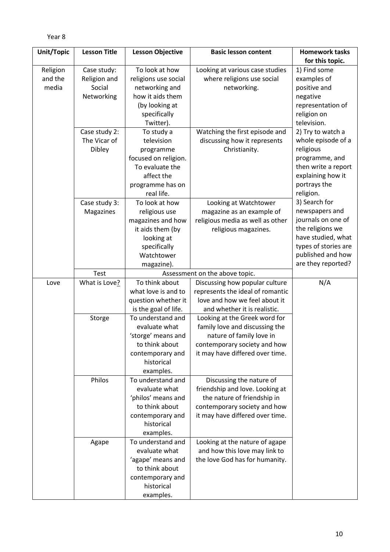```
Year 8
```

| Unit/Topic | <b>Lesson Title</b> | <b>Lesson Objective</b> | <b>Basic lesson content</b>      | <b>Homework tasks</b> |
|------------|---------------------|-------------------------|----------------------------------|-----------------------|
|            |                     |                         |                                  | for this topic.       |
| Religion   | Case study:         | To look at how          | Looking at various case studies  | 1) Find some          |
| and the    | Religion and        | religions use social    | where religions use social       | examples of           |
| media      | Social              | networking and          | networking.                      | positive and          |
|            | Networking          | how it aids them        |                                  | negative              |
|            |                     | (by looking at          |                                  | representation of     |
|            |                     | specifically            |                                  | religion on           |
|            |                     | Twitter).               |                                  | television.           |
|            | Case study 2:       | To study a              | Watching the first episode and   | 2) Try to watch a     |
|            | The Vicar of        | television              | discussing how it represents     | whole episode of a    |
|            | Dibley              | programme               | Christianity.                    | religious             |
|            |                     | focused on religion.    |                                  | programme, and        |
|            |                     | To evaluate the         |                                  | then write a report   |
|            |                     | affect the              |                                  | explaining how it     |
|            |                     | programme has on        |                                  | portrays the          |
|            |                     | real life.              |                                  | religion.             |
|            | Case study 3:       | To look at how          | Looking at Watchtower            | 3) Search for         |
|            | Magazines           | religious use           | magazine as an example of        | newspapers and        |
|            |                     | magazines and how       | religious media as well as other | journals on one of    |
|            |                     | it aids them (by        | religious magazines.             | the religions we      |
|            |                     | looking at              |                                  | have studied, what    |
|            |                     | specifically            |                                  | types of stories are  |
|            |                     | Watchtower              |                                  | published and how     |
|            |                     | magazine).              |                                  | are they reported?    |
|            | Test                |                         | Assessment on the above topic.   |                       |
| Love       | What is Love?       | To think about          | Discussing how popular culture   | N/A                   |
|            |                     | what love is and to     | represents the ideal of romantic |                       |
|            |                     | question whether it     | love and how we feel about it    |                       |
|            |                     | is the goal of life.    | and whether it is realistic.     |                       |
|            | Storge              | To understand and       | Looking at the Greek word for    |                       |
|            |                     | evaluate what           | family love and discussing the   |                       |
|            |                     | 'storge' means and      | nature of family love in         |                       |
|            |                     | to think about          | contemporary society and how     |                       |
|            |                     | contemporary and        | it may have differed over time.  |                       |
|            |                     | historical              |                                  |                       |
|            |                     | examples.               |                                  |                       |
|            | Philos              | To understand and       | Discussing the nature of         |                       |
|            |                     | evaluate what           | friendship and love. Looking at  |                       |
|            |                     | 'philos' means and      | the nature of friendship in      |                       |
|            |                     | to think about          | contemporary society and how     |                       |
|            |                     | contemporary and        | it may have differed over time.  |                       |
|            |                     | historical              |                                  |                       |
|            |                     | examples.               |                                  |                       |
|            | Agape               | To understand and       | Looking at the nature of agape   |                       |
|            |                     | evaluate what           | and how this love may link to    |                       |
|            |                     | 'agape' means and       | the love God has for humanity.   |                       |
|            |                     | to think about          |                                  |                       |
|            |                     | contemporary and        |                                  |                       |
|            |                     | historical              |                                  |                       |
|            |                     | examples.               |                                  |                       |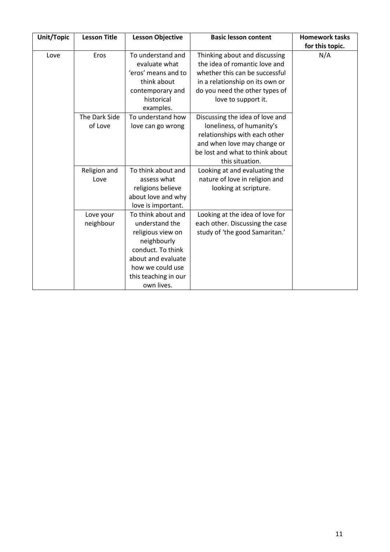| Unit/Topic | <b>Lesson Title</b> | <b>Lesson Objective</b> | <b>Basic lesson content</b>     | <b>Homework tasks</b> |
|------------|---------------------|-------------------------|---------------------------------|-----------------------|
|            |                     |                         |                                 | for this topic.       |
| Love       | Eros                | To understand and       | Thinking about and discussing   | N/A                   |
|            |                     | evaluate what           | the idea of romantic love and   |                       |
|            |                     | 'eros' means and to     | whether this can be successful  |                       |
|            |                     | think about             | in a relationship on its own or |                       |
|            |                     | contemporary and        | do you need the other types of  |                       |
|            |                     | historical              | love to support it.             |                       |
|            |                     | examples.               |                                 |                       |
|            | The Dark Side       | To understand how       | Discussing the idea of love and |                       |
|            | of Love             | love can go wrong       | loneliness, of humanity's       |                       |
|            |                     |                         | relationships with each other   |                       |
|            |                     |                         | and when love may change or     |                       |
|            |                     |                         | be lost and what to think about |                       |
|            |                     |                         | this situation.                 |                       |
|            | Religion and        | To think about and      | Looking at and evaluating the   |                       |
|            | Love                | assess what             | nature of love in religion and  |                       |
|            |                     | religions believe       | looking at scripture.           |                       |
|            |                     | about love and why      |                                 |                       |
|            |                     | love is important.      |                                 |                       |
|            | Love your           | To think about and      | Looking at the idea of love for |                       |
|            | neighbour           | understand the          | each other. Discussing the case |                       |
|            |                     | religious view on       | study of 'the good Samaritan.'  |                       |
|            |                     | neighbourly             |                                 |                       |
|            |                     | conduct. To think       |                                 |                       |
|            |                     | about and evaluate      |                                 |                       |
|            |                     | how we could use        |                                 |                       |
|            |                     | this teaching in our    |                                 |                       |
|            |                     | own lives.              |                                 |                       |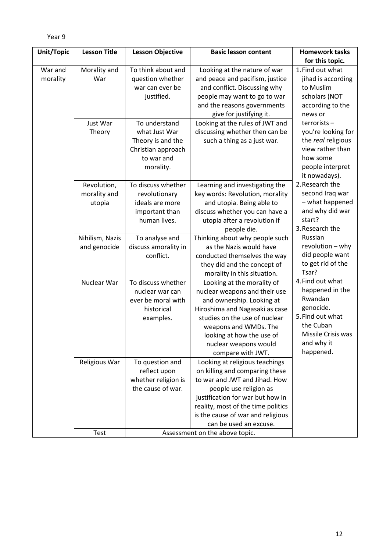```
Year 9
```

| Unit/Topic | <b>Lesson Title</b> | <b>Lesson Objective</b>         | <b>Basic lesson content</b>                                | <b>Homework tasks</b>      |
|------------|---------------------|---------------------------------|------------------------------------------------------------|----------------------------|
|            |                     |                                 |                                                            | for this topic.            |
| War and    | Morality and        | To think about and              | Looking at the nature of war                               | 1. Find out what           |
| morality   | War                 | question whether                | and peace and pacifism, justice                            | jihad is according         |
|            |                     | war can ever be                 | and conflict. Discussing why                               | to Muslim                  |
|            |                     | justified.                      | people may want to go to war                               | scholars (NOT              |
|            |                     |                                 | and the reasons governments                                | according to the           |
|            |                     |                                 | give for justifying it.                                    | news or                    |
|            | Just War            | To understand                   | Looking at the rules of JWT and                            | terrorists-                |
|            | Theory              | what Just War                   | discussing whether then can be                             | you're looking for         |
|            |                     | Theory is and the               | such a thing as a just war.                                | the real religious         |
|            |                     | Christian approach              |                                                            | view rather than           |
|            |                     | to war and                      |                                                            | how some                   |
|            |                     | morality.                       |                                                            | people interpret           |
|            |                     |                                 |                                                            | it nowadays).              |
|            | Revolution,         | To discuss whether              | Learning and investigating the                             | 2. Research the            |
|            | morality and        | revolutionary                   | key words: Revolution, morality                            | second Iraq war            |
|            | utopia              | ideals are more                 | and utopia. Being able to                                  | - what happened            |
|            |                     | important than                  | discuss whether you can have a                             | and why did war            |
|            |                     | human lives.                    | utopia after a revolution if                               | start?                     |
|            |                     |                                 | people die.                                                | 3. Research the            |
|            | Nihilism, Nazis     | To analyse and                  | Thinking about why people such                             | Russian                    |
|            | and genocide        | discuss amorality in            | as the Nazis would have                                    | revolution - why           |
|            |                     | conflict.                       | conducted themselves the way                               | did people want            |
|            |                     |                                 | they did and the concept of                                | to get rid of the<br>Tsar? |
|            |                     |                                 | morality in this situation.                                | 4. Find out what           |
|            | Nuclear War         | To discuss whether              | Looking at the morality of                                 | happened in the            |
|            |                     | nuclear war can                 | nuclear weapons and their use                              | Rwandan                    |
|            |                     | ever be moral with              | and ownership. Looking at                                  | genocide.                  |
|            |                     | historical                      | Hiroshima and Nagasaki as case                             | 5. Find out what           |
|            |                     | examples.                       | studies on the use of nuclear                              | the Cuban                  |
|            |                     |                                 | weapons and WMDs. The                                      | Missile Crisis was         |
|            |                     |                                 | looking at how the use of                                  | and why it                 |
|            |                     |                                 | nuclear weapons would                                      | happened.                  |
|            |                     |                                 | compare with JWT.<br>Looking at religious teachings        |                            |
|            | Religious War       | To question and<br>reflect upon | on killing and comparing these                             |                            |
|            |                     | whether religion is             | to war and JWT and Jihad. How                              |                            |
|            |                     | the cause of war.               |                                                            |                            |
|            |                     |                                 | people use religion as<br>justification for war but how in |                            |
|            |                     |                                 | reality, most of the time politics                         |                            |
|            |                     |                                 | is the cause of war and religious                          |                            |
|            |                     |                                 | can be used an excuse.                                     |                            |
|            | <b>Test</b>         |                                 | Assessment on the above topic.                             |                            |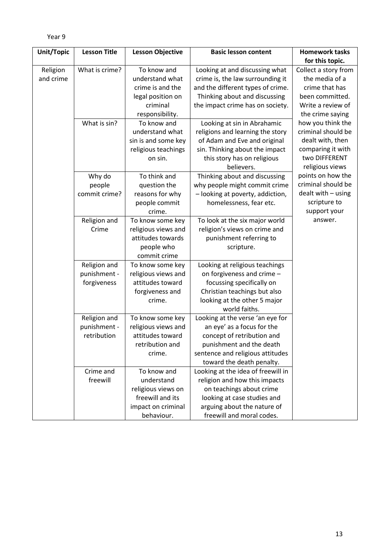| Unit/Topic | <b>Lesson Title</b> | <b>Lesson Objective</b> | <b>Basic lesson content</b>        | <b>Homework tasks</b> |
|------------|---------------------|-------------------------|------------------------------------|-----------------------|
|            |                     |                         |                                    | for this topic.       |
| Religion   | What is crime?      | To know and             | Looking at and discussing what     | Collect a story from  |
| and crime  |                     | understand what         | crime is, the law surrounding it   | the media of a        |
|            |                     | crime is and the        | and the different types of crime.  | crime that has        |
|            |                     | legal position on       | Thinking about and discussing      | been committed.       |
|            |                     | criminal                | the impact crime has on society.   | Write a review of     |
|            |                     | responsibility.         |                                    | the crime saying      |
|            | What is sin?        | To know and             | Looking at sin in Abrahamic        | how you think the     |
|            |                     | understand what         | religions and learning the story   | criminal should be    |
|            |                     | sin is and some key     | of Adam and Eve and original       | dealt with, then      |
|            |                     | religious teachings     | sin. Thinking about the impact     | comparing it with     |
|            |                     | on sin.                 | this story has on religious        | two DIFFERENT         |
|            |                     |                         | believers.                         | religious views       |
|            | Why do              | To think and            | Thinking about and discussing      | points on how the     |
|            | people              | question the            | why people might commit crime      | criminal should be    |
|            | commit crime?       | reasons for why         | - looking at poverty, addiction,   | dealt with - using    |
|            |                     | people commit           | homelessness, fear etc.            | scripture to          |
|            |                     | crime.                  |                                    | support your          |
|            | Religion and        | To know some key        | To look at the six major world     | answer.               |
|            | Crime               | religious views and     | religion's views on crime and      |                       |
|            |                     | attitudes towards       | punishment referring to            |                       |
|            |                     | people who              | scripture.                         |                       |
|            |                     | commit crime            |                                    |                       |
|            | Religion and        | To know some key        | Looking at religious teachings     |                       |
|            | punishment -        | religious views and     | on forgiveness and crime -         |                       |
|            | forgiveness         | attitudes toward        | focussing specifically on          |                       |
|            |                     | forgiveness and         | Christian teachings but also       |                       |
|            |                     | crime.                  | looking at the other 5 major       |                       |
|            |                     |                         | world faiths.                      |                       |
|            | Religion and        | To know some key        | Looking at the verse 'an eye for   |                       |
|            | punishment -        | religious views and     | an eye' as a focus for the         |                       |
|            | retribution         | attitudes toward        | concept of retribution and         |                       |
|            |                     | retribution and         | punishment and the death           |                       |
|            |                     | crime.                  | sentence and religious attitudes   |                       |
|            |                     |                         | toward the death penalty.          |                       |
|            | Crime and           | To know and             | Looking at the idea of freewill in |                       |
|            | freewill            | understand              | religion and how this impacts      |                       |
|            |                     | religious views on      | on teachings about crime           |                       |
|            |                     | freewill and its        | looking at case studies and        |                       |
|            |                     | impact on criminal      | arguing about the nature of        |                       |
|            |                     | behaviour.              | freewill and moral codes.          |                       |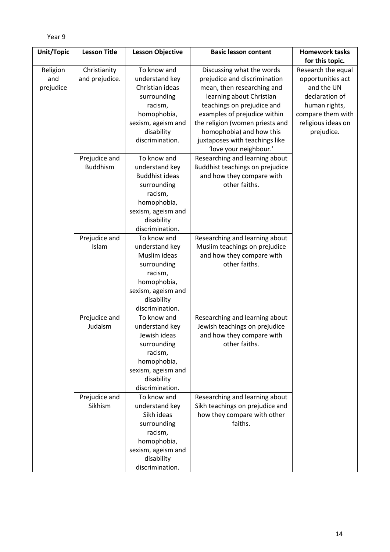```
Year 9
```

| Unit/Topic | <b>Lesson Title</b>      | <b>Lesson Objective</b>       | <b>Basic lesson content</b>                                    | <b>Homework tasks</b> |
|------------|--------------------------|-------------------------------|----------------------------------------------------------------|-----------------------|
|            |                          |                               |                                                                | for this topic.       |
| Religion   | Christianity             | To know and                   | Discussing what the words                                      | Research the equal    |
| and        | and prejudice.           | understand key                | prejudice and discrimination                                   | opportunities act     |
| prejudice  |                          | Christian ideas               | mean, then researching and                                     | and the UN            |
|            |                          | surrounding                   | learning about Christian                                       | declaration of        |
|            |                          | racism,                       | teachings on prejudice and                                     | human rights,         |
|            |                          | homophobia,                   | examples of prejudice within                                   | compare them with     |
|            |                          | sexism, ageism and            | the religion (women priests and                                | religious ideas on    |
|            |                          | disability                    | homophobia) and how this                                       | prejudice.            |
|            |                          | discrimination.               | juxtaposes with teachings like                                 |                       |
|            |                          |                               | 'love your neighbour.'                                         |                       |
|            | Prejudice and            | To know and                   | Researching and learning about                                 |                       |
|            | <b>Buddhism</b>          | understand key                | Buddhist teachings on prejudice                                |                       |
|            |                          | <b>Buddhist ideas</b>         | and how they compare with                                      |                       |
|            |                          | surrounding                   | other faiths.                                                  |                       |
|            |                          | racism,                       |                                                                |                       |
|            |                          | homophobia,                   |                                                                |                       |
|            |                          | sexism, ageism and            |                                                                |                       |
|            |                          | disability                    |                                                                |                       |
|            |                          | discrimination.               |                                                                |                       |
|            | Prejudice and            | To know and                   | Researching and learning about                                 |                       |
|            | Islam                    | understand key                | Muslim teachings on prejudice                                  |                       |
|            |                          | Muslim ideas                  | and how they compare with                                      |                       |
|            |                          | surrounding                   | other faiths.                                                  |                       |
|            |                          | racism,                       |                                                                |                       |
|            |                          | homophobia,                   |                                                                |                       |
|            |                          | sexism, ageism and            |                                                                |                       |
|            |                          | disability                    |                                                                |                       |
|            |                          | discrimination.               |                                                                |                       |
|            | Prejudice and            | To know and                   | Researching and learning about                                 |                       |
|            | Judaism                  | understand key                | Jewish teachings on prejudice                                  |                       |
|            |                          | Jewish ideas                  | and how they compare with                                      |                       |
|            |                          | surrounding                   | other faiths.                                                  |                       |
|            |                          | racism,                       |                                                                |                       |
|            |                          | homophobia,                   |                                                                |                       |
|            |                          | sexism, ageism and            |                                                                |                       |
|            |                          | disability<br>discrimination. |                                                                |                       |
|            |                          | To know and                   |                                                                |                       |
|            | Prejudice and<br>Sikhism | understand key                | Researching and learning about                                 |                       |
|            |                          | Sikh ideas                    | Sikh teachings on prejudice and<br>how they compare with other |                       |
|            |                          | surrounding                   | faiths.                                                        |                       |
|            |                          | racism,                       |                                                                |                       |
|            |                          | homophobia,                   |                                                                |                       |
|            |                          | sexism, ageism and            |                                                                |                       |
|            |                          | disability                    |                                                                |                       |
|            |                          | discrimination.               |                                                                |                       |
|            |                          |                               |                                                                |                       |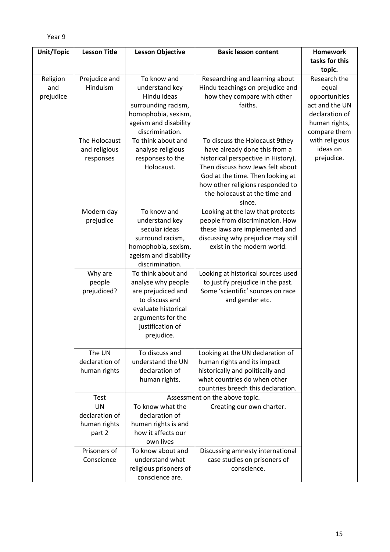| Unit/Topic | <b>Lesson Title</b>         | <b>Lesson Objective</b>               | <b>Basic lesson content</b>                                       | <b>Homework</b>                 |
|------------|-----------------------------|---------------------------------------|-------------------------------------------------------------------|---------------------------------|
|            |                             |                                       |                                                                   | tasks for this                  |
|            |                             |                                       |                                                                   | topic.                          |
| Religion   | Prejudice and               | To know and                           | Researching and learning about                                    | Research the                    |
| and        | Hinduism                    | understand key<br>Hindu ideas         | Hindu teachings on prejudice and                                  | equal                           |
| prejudice  |                             | surrounding racism,                   | how they compare with other<br>faiths.                            | opportunities<br>act and the UN |
|            |                             | homophobia, sexism,                   |                                                                   | declaration of                  |
|            |                             | ageism and disability                 |                                                                   | human rights,                   |
|            |                             | discrimination.                       |                                                                   | compare them                    |
|            | The Holocaust               | To think about and                    | To discuss the Holocaust 9they                                    | with religious                  |
|            | and religious               | analyse religious                     | have already done this from a                                     | ideas on                        |
|            | responses                   | responses to the                      | historical perspective in History).                               | prejudice.                      |
|            |                             | Holocaust.                            | Then discuss how Jews felt about                                  |                                 |
|            |                             |                                       | God at the time. Then looking at                                  |                                 |
|            |                             |                                       | how other religions responded to<br>the holocaust at the time and |                                 |
|            |                             |                                       | since.                                                            |                                 |
|            | Modern day                  | To know and                           | Looking at the law that protects                                  |                                 |
|            | prejudice                   | understand key                        | people from discrimination. How                                   |                                 |
|            |                             | secular ideas                         | these laws are implemented and                                    |                                 |
|            |                             | surround racism,                      | discussing why prejudice may still                                |                                 |
|            |                             | homophobia, sexism,                   | exist in the modern world.                                        |                                 |
|            |                             | ageism and disability                 |                                                                   |                                 |
|            | Why are                     | discrimination.<br>To think about and | Looking at historical sources used                                |                                 |
|            | people                      | analyse why people                    | to justify prejudice in the past.                                 |                                 |
|            | prejudiced?                 | are prejudiced and                    | Some 'scientific' sources on race                                 |                                 |
|            |                             | to discuss and                        | and gender etc.                                                   |                                 |
|            |                             | evaluate historical                   |                                                                   |                                 |
|            |                             | arguments for the                     |                                                                   |                                 |
|            |                             | justification of                      |                                                                   |                                 |
|            |                             | prejudice.                            |                                                                   |                                 |
|            | The UN                      | To discuss and                        | Looking at the UN declaration of                                  |                                 |
|            | declaration of              | understand the UN                     | human rights and its impact                                       |                                 |
|            | human rights                | declaration of                        | historically and politically and                                  |                                 |
|            |                             | human rights.                         | what countries do when other                                      |                                 |
|            |                             |                                       | countries breech this declaration.                                |                                 |
|            | Test                        | To know what the                      | Assessment on the above topic.                                    |                                 |
|            | <b>UN</b><br>declaration of | declaration of                        | Creating our own charter.                                         |                                 |
|            | human rights                | human rights is and                   |                                                                   |                                 |
|            | part 2                      | how it affects our                    |                                                                   |                                 |
|            |                             | own lives                             |                                                                   |                                 |
|            | Prisoners of                | To know about and                     | Discussing amnesty international                                  |                                 |
|            | Conscience                  | understand what                       | case studies on prisoners of                                      |                                 |
|            |                             | religious prisoners of                | conscience.                                                       |                                 |
|            |                             | conscience are.                       |                                                                   |                                 |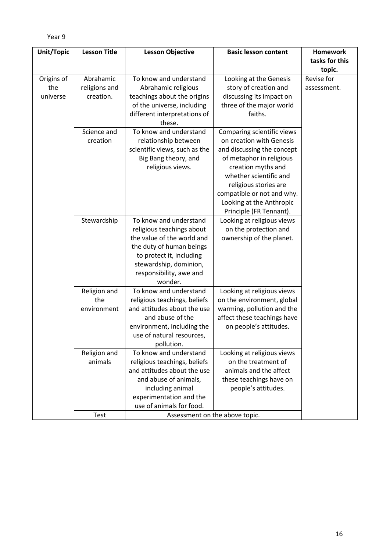| Abrahamic                          |                                                                                                                                                                                                           |                                                                                                                                                                                                                                                                                | tasks for this                 |
|------------------------------------|-----------------------------------------------------------------------------------------------------------------------------------------------------------------------------------------------------------|--------------------------------------------------------------------------------------------------------------------------------------------------------------------------------------------------------------------------------------------------------------------------------|--------------------------------|
|                                    |                                                                                                                                                                                                           |                                                                                                                                                                                                                                                                                |                                |
|                                    |                                                                                                                                                                                                           |                                                                                                                                                                                                                                                                                | topic.                         |
| creation.                          | To know and understand<br>Abrahamic religious<br>teachings about the origins<br>of the universe, including<br>different interpretations of<br>these.                                                      | Looking at the Genesis<br>story of creation and<br>discussing its impact on<br>three of the major world<br>faiths.                                                                                                                                                             | Revise for<br>assessment.      |
| Science and<br>creation            | To know and understand<br>relationship between<br>scientific views, such as the<br>Big Bang theory, and<br>religious views.                                                                               | Comparing scientific views<br>on creation with Genesis<br>and discussing the concept<br>of metaphor in religious<br>creation myths and<br>whether scientific and<br>religious stories are<br>compatible or not and why.<br>Looking at the Anthropic<br>Principle (FR Tennant). |                                |
| Stewardship                        | To know and understand<br>religious teachings about<br>the value of the world and<br>the duty of human beings<br>to protect it, including<br>stewardship, dominion,<br>responsibility, awe and<br>wonder. | Looking at religious views<br>on the protection and<br>ownership of the planet.                                                                                                                                                                                                |                                |
| Religion and<br>the<br>environment | To know and understand<br>religious teachings, beliefs<br>and attitudes about the use<br>and abuse of the<br>environment, including the<br>use of natural resources,<br>pollution.                        | Looking at religious views<br>on the environment, global<br>warming, pollution and the<br>affect these teachings have<br>on people's attitudes.                                                                                                                                |                                |
| Religion and<br>animals            | To know and understand<br>religious teachings, beliefs<br>and attitudes about the use<br>and abuse of animals,<br>including animal<br>experimentation and the<br>use of animals for food.                 | Looking at religious views<br>on the treatment of<br>animals and the affect<br>these teachings have on<br>people's attitudes.                                                                                                                                                  |                                |
|                                    | religions and<br>Test                                                                                                                                                                                     |                                                                                                                                                                                                                                                                                | Assessment on the above topic. |